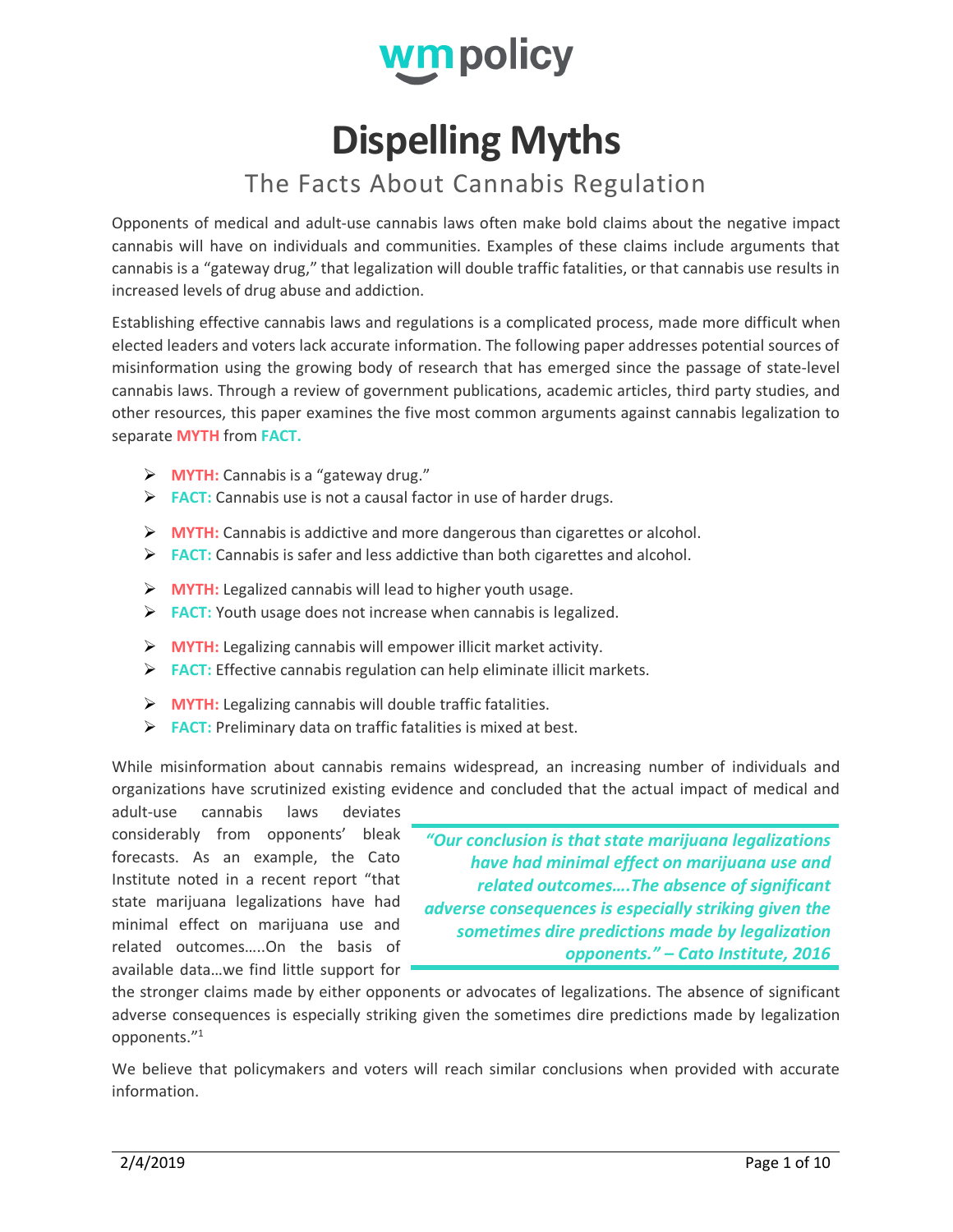

## **Dispelling Myths**

### The Facts About Cannabis Regulation

Opponents of medical and adult-use cannabis laws often make bold claims about the negative impact cannabis will have on individuals and communities. Examples of these claims include arguments that cannabis is a "gateway drug," that legalization will double traffic fatalities, or that cannabis use results in increased levels of drug abuse and addiction.

Establishing effective cannabis laws and regulations is a complicated process, made more difficult when elected leaders and voters lack accurate information. The following paper addresses potential sources of misinformation using the growing body of research that has emerged since the passage of state-level cannabis laws. Through a review of government publications, academic articles, third party studies, and other resources, this paper examines the five most common arguments against cannabis legalization to separate **MYTH** from **FACT.**

- Ø **MYTH:** Cannabis is a "gateway drug."
- Ø **FACT:** Cannabis use is not a causal factor in use of harder drugs.
- Ø **MYTH:** Cannabis is addictive and more dangerous than cigarettes or alcohol.
- Ø **FACT:** Cannabis is safer and less addictive than both cigarettes and alcohol.
- Ø **MYTH:** Legalized cannabis will lead to higher youth usage.
- Ø **FACT:** Youth usage does not increase when cannabis is legalized.
- Ø **MYTH:** Legalizing cannabis will empower illicit market activity.
- Ø **FACT:** Effective cannabis regulation can help eliminate illicit markets.
- Ø **MYTH:** Legalizing cannabis will double traffic fatalities.
- Ø **FACT:** Preliminary data on traffic fatalities is mixed at best.

While misinformation about cannabis remains widespread, an increasing number of individuals and organizations have scrutinized existing evidence and concluded that the actual impact of medical and

adult-use cannabis laws deviates considerably from opponents' bleak forecasts. As an example, the Cato Institute noted in a recent report "that state marijuana legalizations have had minimal effect on marijuana use and related outcomes…..On the basis of available data...we find little support for

*"Our conclusion is that state marijuana legalizations have had minimal effect on marijuana use and related outcomes….The absence of significant adverse consequences is especially striking given the sometimes dire predictions made by legalization opponents." – Cato Institute, 2016*

the stronger claims made by either opponents or advocates of legalizations. The absence of significant adverse consequences is especially striking given the sometimes dire predictions made by legalization opponents."1

We believe that policymakers and voters will reach similar conclusions when provided with accurate information.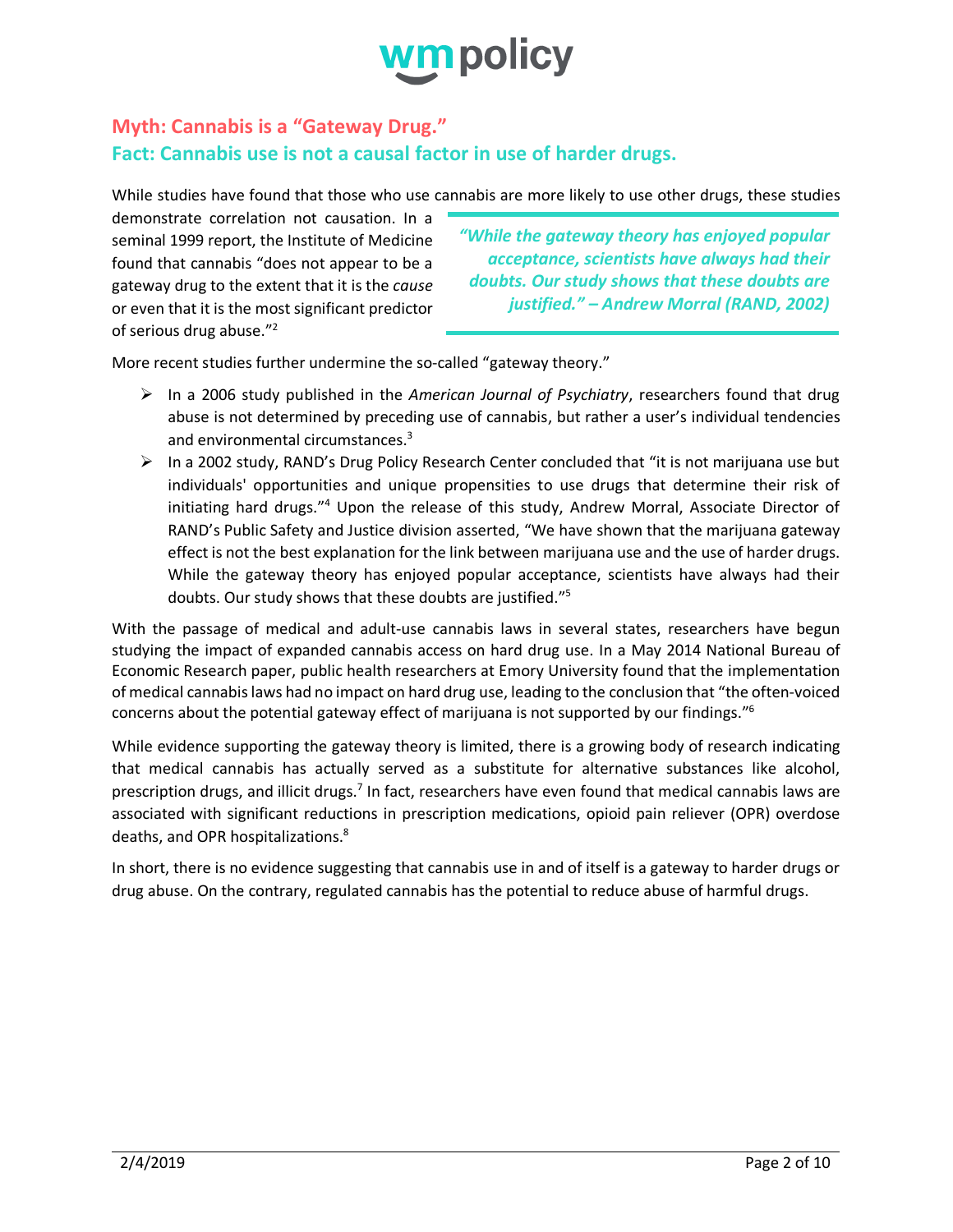

#### **Myth: Cannabis is a "Gateway Drug." Fact: Cannabis use is not a causal factor in use of harder drugs.**

While studies have found that those who use cannabis are more likely to use other drugs, these studies

demonstrate correlation not causation. In a seminal 1999 report, the Institute of Medicine found that cannabis "does not appear to be a gateway drug to the extent that it is the *cause*  or even that it is the most significant predictor of serious drug abuse."2

*"While the gateway theory has enjoyed popular acceptance, scientists have always had their doubts. Our study shows that these doubts are justified." – Andrew Morral (RAND, 2002)*

More recent studies further undermine the so-called "gateway theory."

- Ø In a 2006 study published in the *American Journal of Psychiatry*, researchers found that drug abuse is not determined by preceding use of cannabis, but rather a user's individual tendencies and environmental circumstances.<sup>3</sup>
- $\triangleright$  In a 2002 study, RAND's Drug Policy Research Center concluded that "it is not marijuana use but individuals' opportunities and unique propensities to use drugs that determine their risk of initiating hard drugs."4 Upon the release of this study, Andrew Morral, Associate Director of RAND's Public Safety and Justice division asserted, "We have shown that the marijuana gateway effect is not the best explanation for the link between marijuana use and the use of harder drugs. While the gateway theory has enjoyed popular acceptance, scientists have always had their doubts. Our study shows that these doubts are justified."5

With the passage of medical and adult-use cannabis laws in several states, researchers have begun studying the impact of expanded cannabis access on hard drug use. In a May 2014 National Bureau of Economic Research paper, public health researchers at Emory University found that the implementation of medical cannabislaws had no impact on hard drug use, leading to the conclusion that "the often-voiced concerns about the potential gateway effect of marijuana is not supported by our findings."6

While evidence supporting the gateway theory is limited, there is a growing body of research indicating that medical cannabis has actually served as a substitute for alternative substances like alcohol, prescription drugs, and illicit drugs.7 In fact, researchers have even found that medical cannabis laws are associated with significant reductions in prescription medications, opioid pain reliever (OPR) overdose deaths, and OPR hospitalizations.8

In short, there is no evidence suggesting that cannabis use in and of itself is a gateway to harder drugs or drug abuse. On the contrary, regulated cannabis has the potential to reduce abuse of harmful drugs.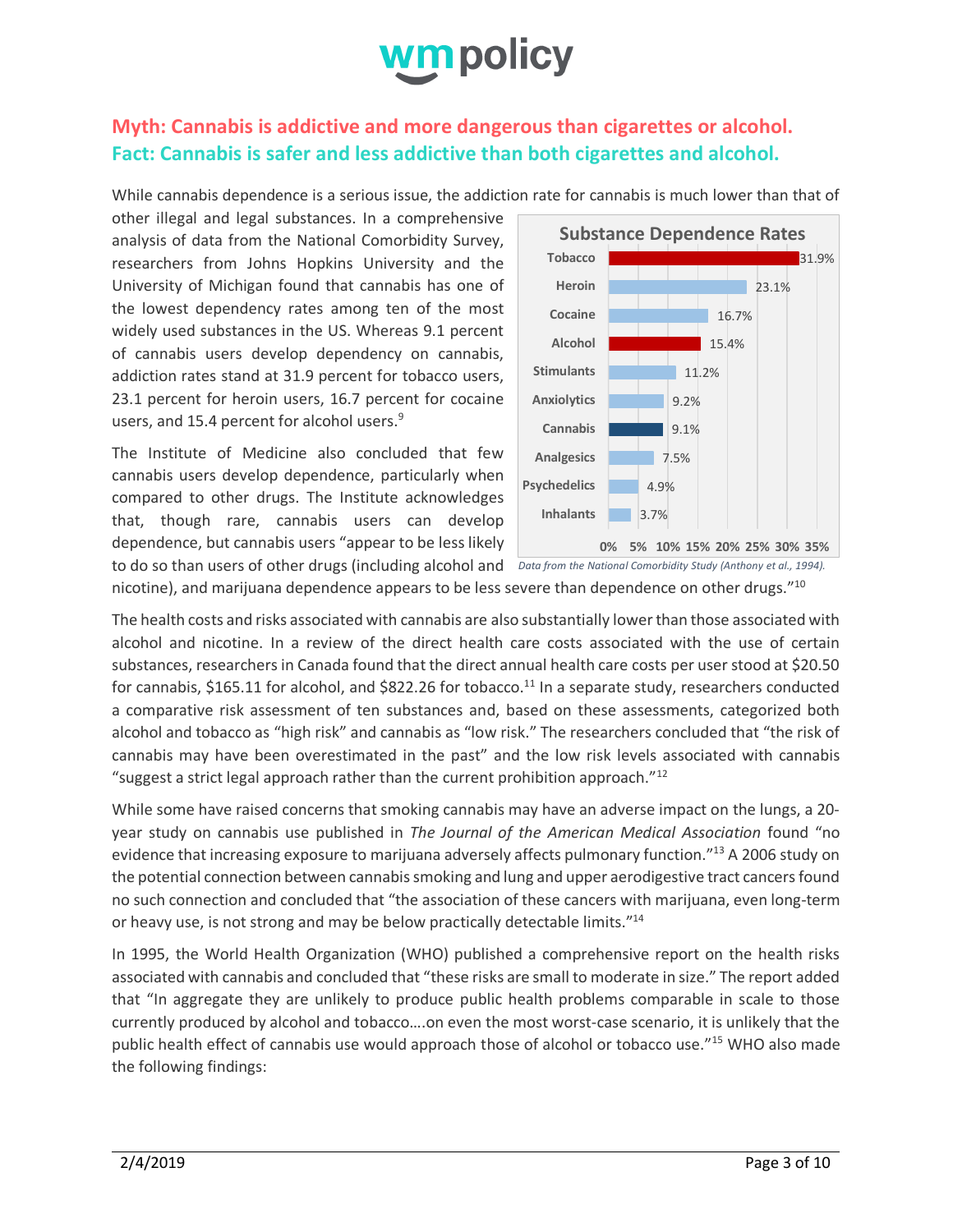# wm policy

#### **Myth: Cannabis is addictive and more dangerous than cigarettes or alcohol. Fact: Cannabis is safer and less addictive than both cigarettes and alcohol.**

While cannabis dependence is a serious issue, the addiction rate for cannabis is much lower than that of

other illegal and legal substances. In a comprehensive analysis of data from the National Comorbidity Survey, researchers from Johns Hopkins University and the University of Michigan found that cannabis has one of the lowest dependency rates among ten of the most widely used substances in the US. Whereas 9.1 percent of cannabis users develop dependency on cannabis, addiction rates stand at 31.9 percent for tobacco users, 23.1 percent for heroin users, 16.7 percent for cocaine users, and 15.4 percent for alcohol users.<sup>9</sup>

The Institute of Medicine also concluded that few cannabis users develop dependence, particularly when compared to other drugs. The Institute acknowledges that, though rare, cannabis users can develop dependence, but cannabis users "appear to be less likely



nicotine), and marijuana dependence appears to be less severe than dependence on other drugs."10

The health costs and risks associated with cannabis are also substantially lower than those associated with alcohol and nicotine. In a review of the direct health care costs associated with the use of certain substances, researchers in Canada found that the direct annual health care costs per user stood at \$20.50 for cannabis, \$165.11 for alcohol, and \$822.26 for tobacco.<sup>11</sup> In a separate study, researchers conducted a comparative risk assessment of ten substances and, based on these assessments, categorized both alcohol and tobacco as "high risk" and cannabis as "low risk." The researchers concluded that "the risk of cannabis may have been overestimated in the past" and the low risk levels associated with cannabis "suggest a strict legal approach rather than the current prohibition approach." $^{12}$ 

While some have raised concerns that smoking cannabis may have an adverse impact on the lungs, a 20 year study on cannabis use published in *The Journal of the American Medical Association* found "no evidence that increasing exposure to marijuana adversely affects pulmonary function."<sup>13</sup> A 2006 study on the potential connection between cannabissmoking and lung and upper aerodigestive tract cancers found no such connection and concluded that "the association of these cancers with marijuana, even long-term or heavy use, is not strong and may be below practically detectable limits."14

In 1995, the World Health Organization (WHO) published a comprehensive report on the health risks associated with cannabis and concluded that "these risks are small to moderate in size." The report added that "In aggregate they are unlikely to produce public health problems comparable in scale to those currently produced by alcohol and tobacco….on even the most worst-case scenario, it is unlikely that the public health effect of cannabis use would approach those of alcohol or tobacco use."<sup>15</sup> WHO also made the following findings: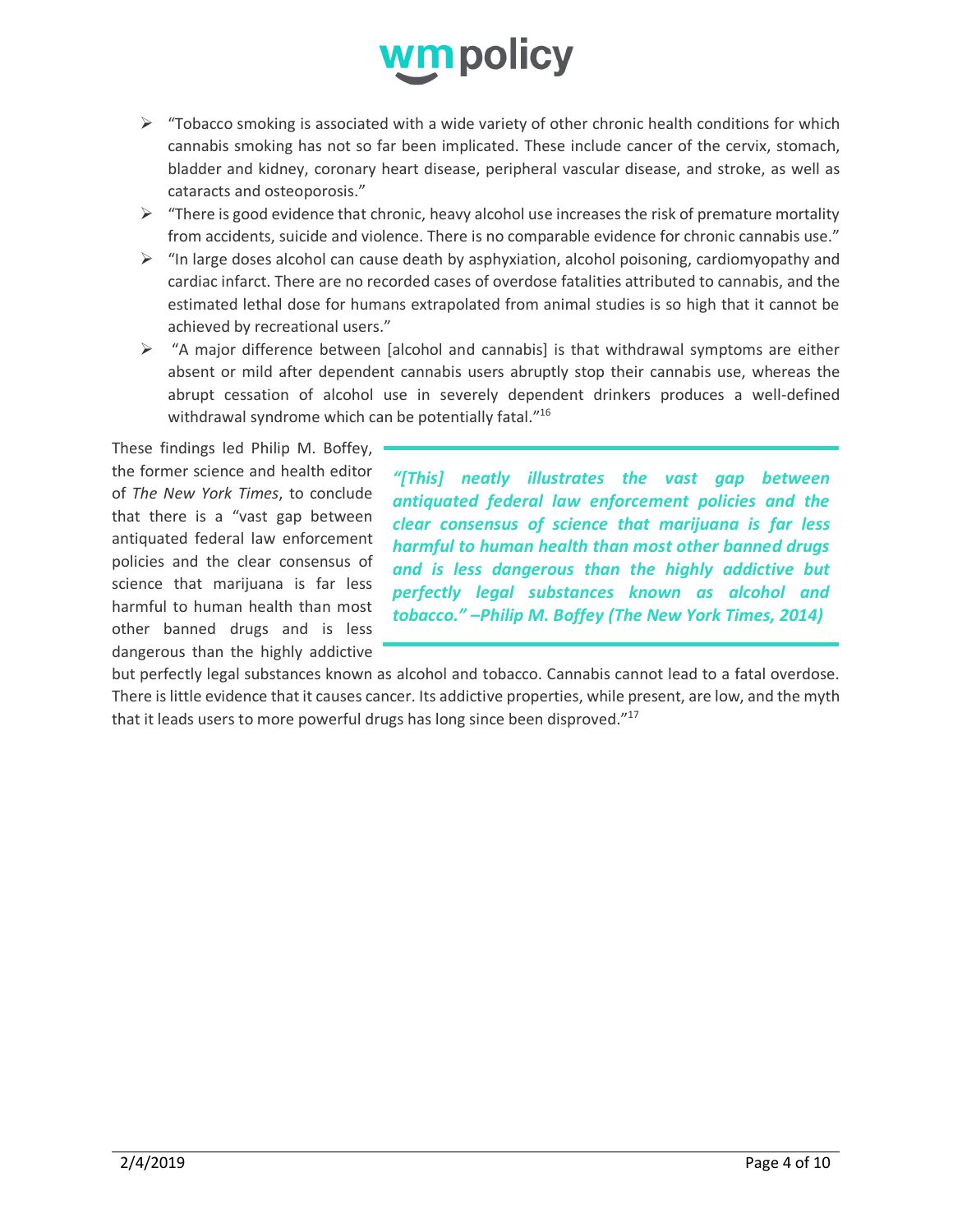

- $\triangleright$  "Tobacco smoking is associated with a wide variety of other chronic health conditions for which cannabis smoking has not so far been implicated. These include cancer of the cervix, stomach, bladder and kidney, coronary heart disease, peripheral vascular disease, and stroke, as well as cataracts and osteoporosis."
- $\triangleright$  "There is good evidence that chronic, heavy alcohol use increases the risk of premature mortality from accidents, suicide and violence. There is no comparable evidence for chronic cannabis use."
- $\triangleright$  "In large doses alcohol can cause death by asphyxiation, alcohol poisoning, cardiomyopathy and cardiac infarct. There are no recorded cases of overdose fatalities attributed to cannabis, and the estimated lethal dose for humans extrapolated from animal studies is so high that it cannot be achieved by recreational users."
- $\triangleright$  "A major difference between [alcohol and cannabis] is that withdrawal symptoms are either absent or mild after dependent cannabis users abruptly stop their cannabis use, whereas the abrupt cessation of alcohol use in severely dependent drinkers produces a well-defined withdrawal syndrome which can be potentially fatal."<sup>16</sup>

These findings led Philip M. Boffey, the former science and health editor of *The New York Times*, to conclude that there is a "vast gap between antiquated federal law enforcement policies and the clear consensus of science that marijuana is far less harmful to human health than most other banned drugs and is less dangerous than the highly addictive

*"[This] neatly illustrates the vast gap between antiquated federal law enforcement policies and the clear consensus of science that marijuana is far less harmful to human health than most other banned drugs and is less dangerous than the highly addictive but perfectly legal substances known as alcohol and tobacco." –Philip M. Boffey (The New York Times, 2014)*

but perfectly legal substances known as alcohol and tobacco. Cannabis cannot lead to a fatal overdose. There is little evidence that it causes cancer. Its addictive properties, while present, are low, and the myth that it leads users to more powerful drugs has long since been disproved."<sup>17</sup>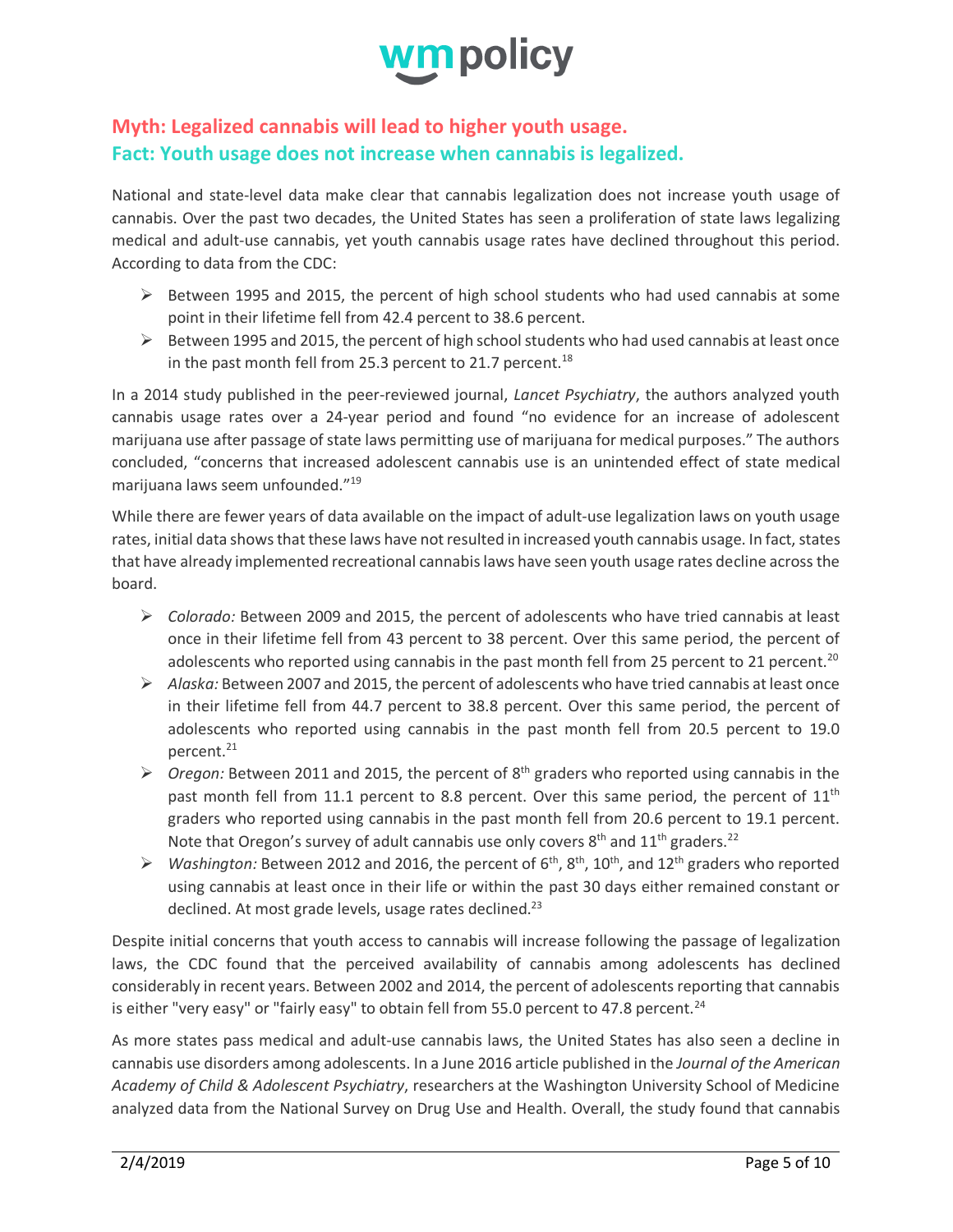

#### **Myth: Legalized cannabis will lead to higher youth usage. Fact: Youth usage does not increase when cannabis is legalized.**

National and state-level data make clear that cannabis legalization does not increase youth usage of cannabis. Over the past two decades, the United States has seen a proliferation of state laws legalizing medical and adult-use cannabis, yet youth cannabis usage rates have declined throughout this period. According to data from the CDC:

- $\triangleright$  Between 1995 and 2015, the percent of high school students who had used cannabis at some point in their lifetime fell from 42.4 percent to 38.6 percent.
- $\triangleright$  Between 1995 and 2015, the percent of high school students who had used cannabis at least once in the past month fell from 25.3 percent to 21.7 percent.<sup>18</sup>

In a 2014 study published in the peer-reviewed journal, *Lancet Psychiatry*, the authors analyzed youth cannabis usage rates over a 24-year period and found "no evidence for an increase of adolescent marijuana use after passage of state laws permitting use of marijuana for medical purposes." The authors concluded, "concerns that increased adolescent cannabis use is an unintended effect of state medical marijuana laws seem unfounded."19

While there are fewer years of data available on the impact of adult-use legalization laws on youth usage rates, initial data shows that these laws have not resulted in increased youth cannabis usage. In fact, states that have already implemented recreational cannabislaws have seen youth usage rates decline across the board.

- Ø *Colorado:* Between 2009 and 2015, the percent of adolescents who have tried cannabis at least once in their lifetime fell from 43 percent to 38 percent. Over this same period, the percent of adolescents who reported using cannabis in the past month fell from 25 percent to 21 percent.<sup>20</sup>
- Ø *Alaska:* Between 2007 and 2015, the percent of adolescents who have tried cannabis atleast once in their lifetime fell from 44.7 percent to 38.8 percent. Over this same period, the percent of adolescents who reported using cannabis in the past month fell from 20.5 percent to 19.0 percent.<sup>21</sup>
- $\triangleright$  *Oregon:* Between 2011 and 2015, the percent of 8<sup>th</sup> graders who reported using cannabis in the past month fell from 11.1 percent to 8.8 percent. Over this same period, the percent of  $11<sup>th</sup>$ graders who reported using cannabis in the past month fell from 20.6 percent to 19.1 percent. Note that Oregon's survey of adult cannabis use only covers  $8<sup>th</sup>$  and  $11<sup>th</sup>$  graders.<sup>22</sup>
- Ø *Washington:* Between 2012 and 2016, the percent of 6th, 8th, 10th, and 12th graders who reported using cannabis at least once in their life or within the past 30 days either remained constant or declined. At most grade levels, usage rates declined.<sup>23</sup>

Despite initial concerns that youth access to cannabis will increase following the passage of legalization laws, the CDC found that the perceived availability of cannabis among adolescents has declined considerably in recent years. Between 2002 and 2014, the percent of adolescents reporting that cannabis is either "very easy" or "fairly easy" to obtain fell from 55.0 percent to 47.8 percent.<sup>24</sup>

As more states pass medical and adult-use cannabis laws, the United States has also seen a decline in cannabis use disorders among adolescents. In a June 2016 article published in the *Journal of the American Academy of Child & Adolescent Psychiatry*, researchers at the Washington University School of Medicine analyzed data from the National Survey on Drug Use and Health. Overall, the study found that cannabis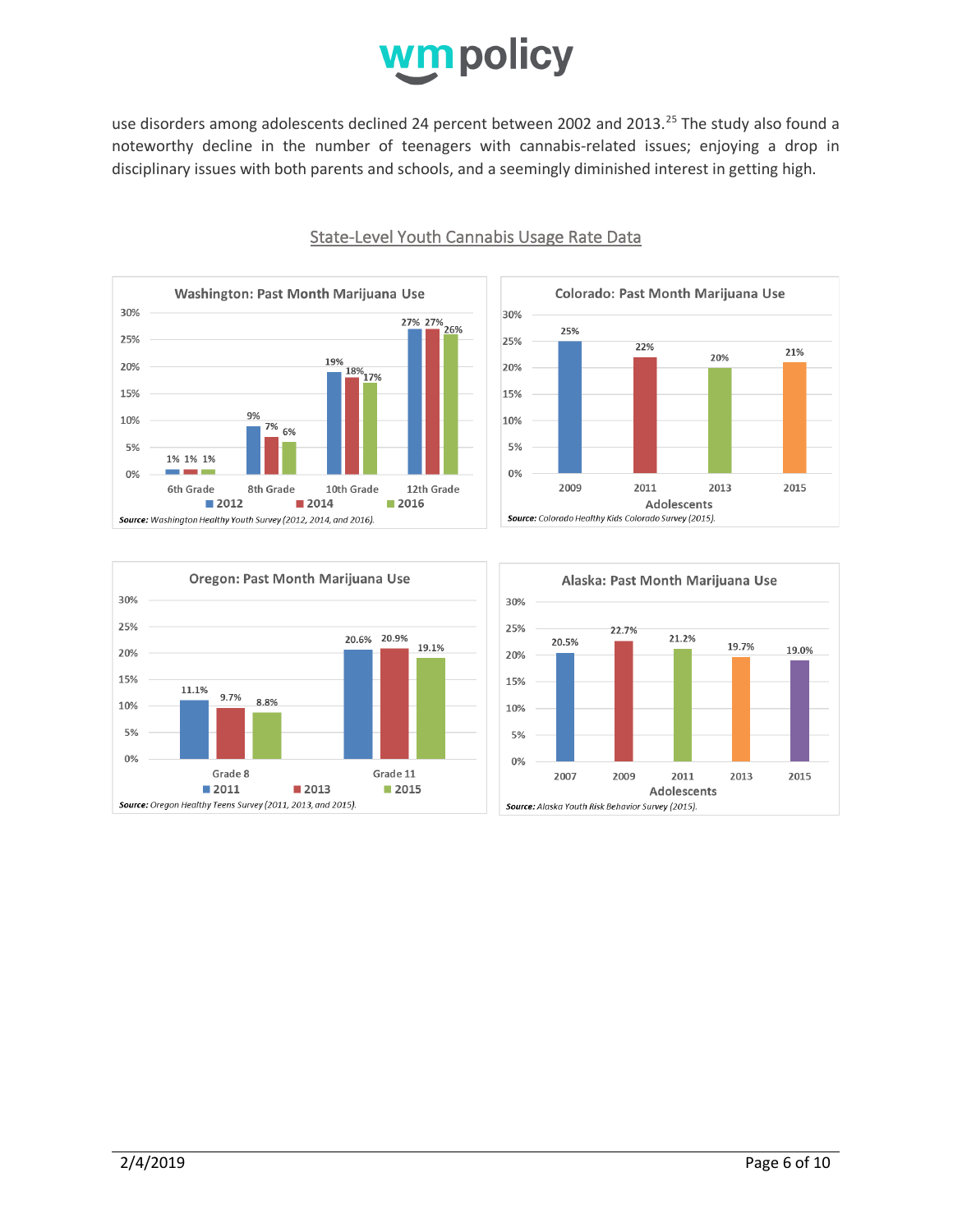

use disorders among adolescents declined 24 percent between 2002 and 2013.<sup>25</sup> The study also found a noteworthy decline in the number of teenagers with cannabis-related issues; enjoying a drop in disciplinary issues with both parents and schools, and a seemingly diminished interest in getting high.





#### State-Level Youth Cannabis Usage Rate Data



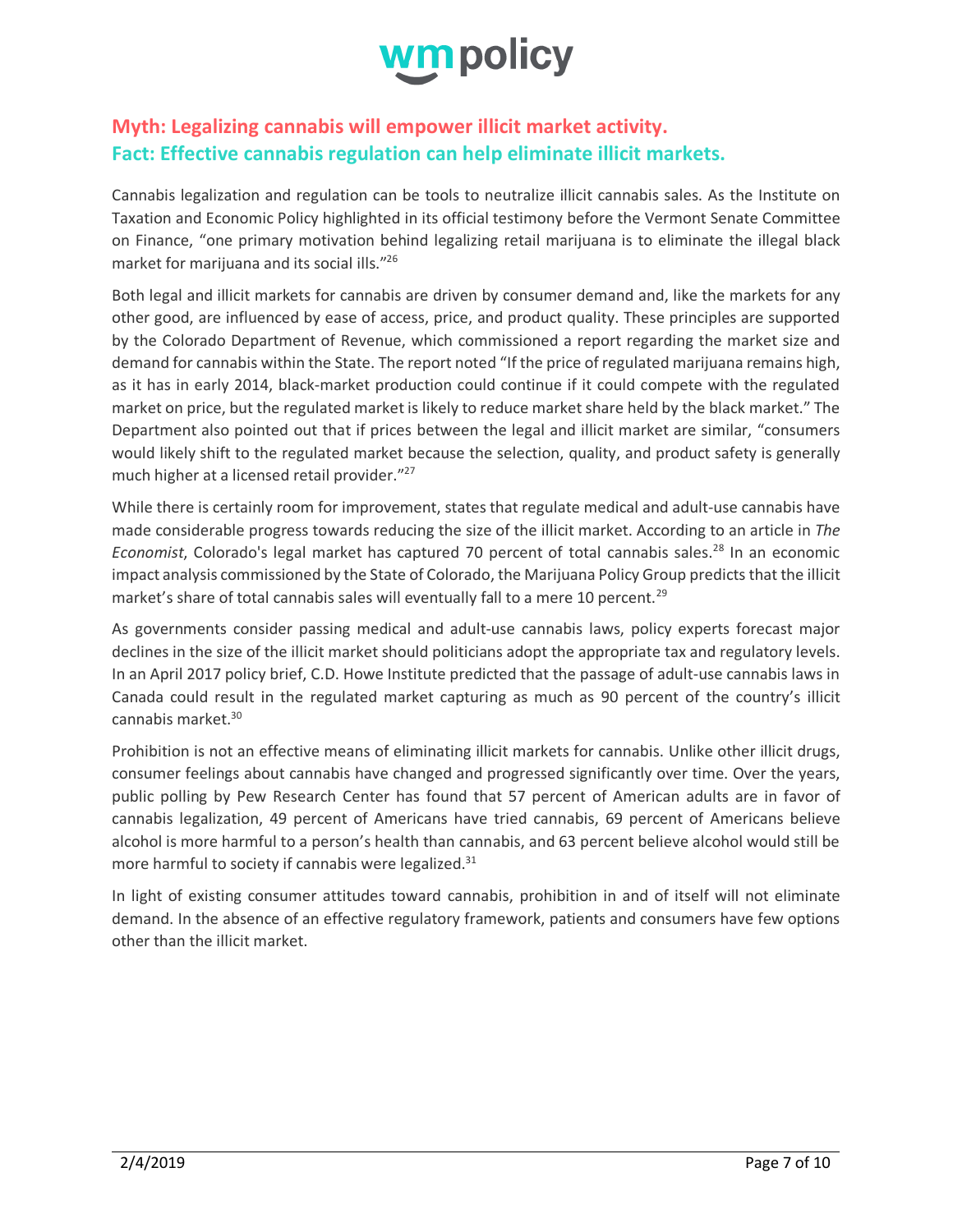

#### **Myth: Legalizing cannabis will empower illicit market activity. Fact: Effective cannabis regulation can help eliminate illicit markets.**

Cannabis legalization and regulation can be tools to neutralize illicit cannabis sales. As the Institute on Taxation and Economic Policy highlighted in its official testimony before the Vermont Senate Committee on Finance, "one primary motivation behind legalizing retail marijuana is to eliminate the illegal black market for marijuana and its social ills."26

Both legal and illicit markets for cannabis are driven by consumer demand and, like the markets for any other good, are influenced by ease of access, price, and product quality. These principles are supported by the Colorado Department of Revenue, which commissioned a report regarding the market size and demand for cannabis within the State. The report noted "If the price of regulated marijuana remains high, as it has in early 2014, black-market production could continue if it could compete with the regulated market on price, but the regulated market is likely to reduce market share held by the black market." The Department also pointed out that if prices between the legal and illicit market are similar, "consumers would likely shift to the regulated market because the selection, quality, and product safety is generally much higher at a licensed retail provider."27

While there is certainly room for improvement, states that regulate medical and adult-use cannabis have made considerable progress towards reducing the size of the illicit market. According to an article in *The Economist*, Colorado's legal market has captured 70 percent of total cannabis sales.<sup>28</sup> In an economic impact analysis commissioned by the State of Colorado, the Marijuana Policy Group predicts that the illicit market's share of total cannabis sales will eventually fall to a mere 10 percent.<sup>29</sup>

As governments consider passing medical and adult-use cannabis laws, policy experts forecast major declines in the size of the illicit market should politicians adopt the appropriate tax and regulatory levels. In an April 2017 policy brief, C.D. Howe Institute predicted that the passage of adult-use cannabis laws in Canada could result in the regulated market capturing as much as 90 percent of the country's illicit cannabis market.30

Prohibition is not an effective means of eliminating illicit markets for cannabis. Unlike other illicit drugs, consumer feelings about cannabis have changed and progressed significantly over time. Over the years, public polling by Pew Research Center has found that 57 percent of American adults are in favor of cannabis legalization, 49 percent of Americans have tried cannabis, 69 percent of Americans believe alcohol is more harmful to a person's health than cannabis, and 63 percent believe alcohol would still be more harmful to society if cannabis were legalized.<sup>31</sup>

In light of existing consumer attitudes toward cannabis, prohibition in and of itself will not eliminate demand. In the absence of an effective regulatory framework, patients and consumers have few options other than the illicit market.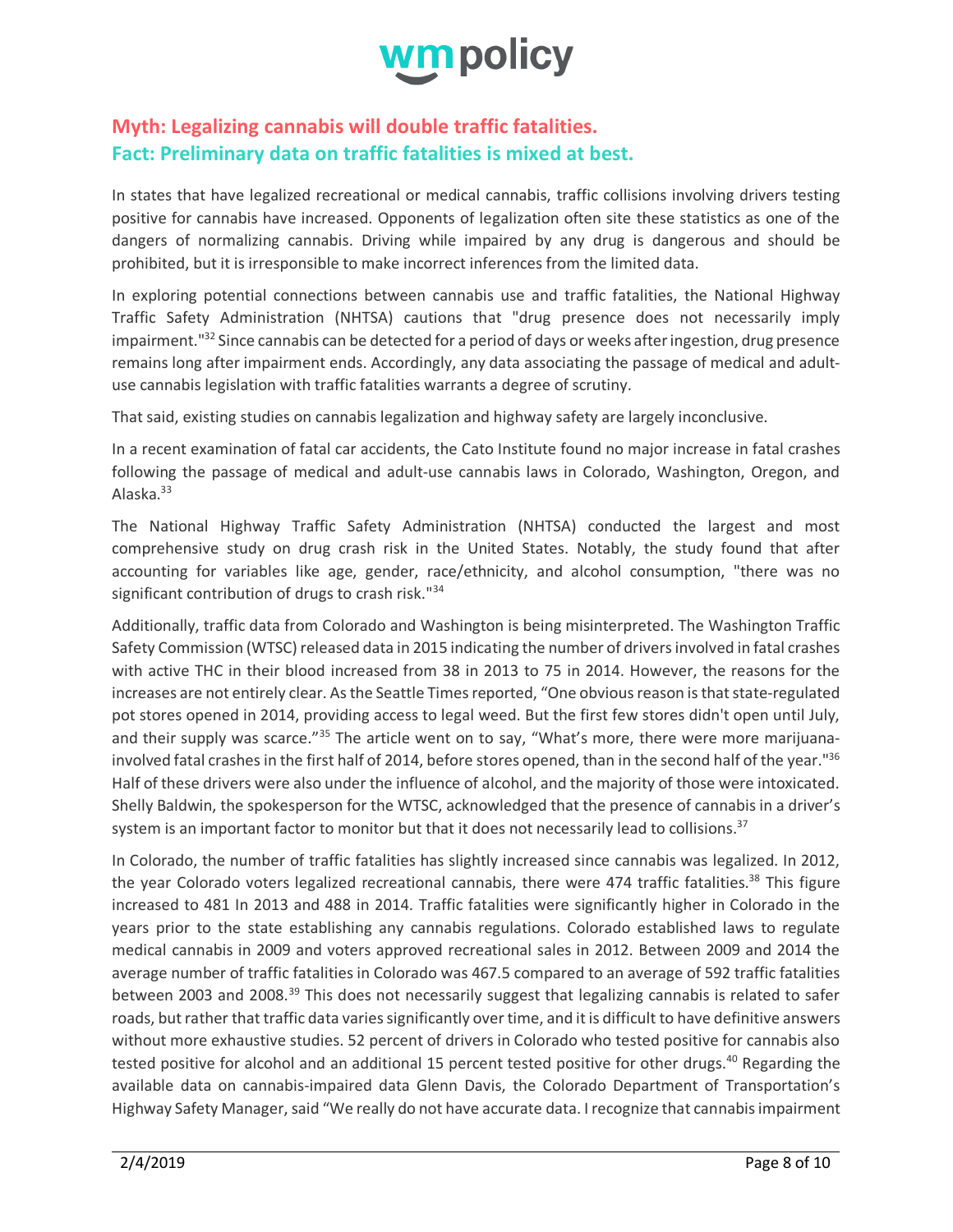

#### **Myth: Legalizing cannabis will double traffic fatalities. Fact: Preliminary data on traffic fatalities is mixed at best.**

In states that have legalized recreational or medical cannabis, traffic collisions involving drivers testing positive for cannabis have increased. Opponents of legalization often site these statistics as one of the dangers of normalizing cannabis. Driving while impaired by any drug is dangerous and should be prohibited, but it is irresponsible to make incorrect inferences from the limited data.

In exploring potential connections between cannabis use and traffic fatalities, the National Highway Traffic Safety Administration (NHTSA) cautions that "drug presence does not necessarily imply impairment."<sup>32</sup> Since cannabis can be detected for a period of days or weeks after ingestion, drug presence remains long after impairment ends. Accordingly, any data associating the passage of medical and adultuse cannabis legislation with traffic fatalities warrants a degree of scrutiny.

That said, existing studies on cannabis legalization and highway safety are largely inconclusive.

In a recent examination of fatal car accidents, the Cato Institute found no major increase in fatal crashes following the passage of medical and adult-use cannabis laws in Colorado, Washington, Oregon, and Alaska.33

The National Highway Traffic Safety Administration (NHTSA) conducted the largest and most comprehensive study on drug crash risk in the United States. Notably, the study found that after accounting for variables like age, gender, race/ethnicity, and alcohol consumption, "there was no significant contribution of drugs to crash risk.<sup>"34</sup>

Additionally, traffic data from Colorado and Washington is being misinterpreted. The Washington Traffic Safety Commission (WTSC) released data in 2015 indicating the number of drivers involved in fatal crashes with active THC in their blood increased from 38 in 2013 to 75 in 2014. However, the reasons for the increases are not entirely clear. As the Seattle Times reported, "One obvious reason is that state-regulated pot stores opened in 2014, providing access to legal weed. But the first few stores didn't open until July, and their supply was scarce."<sup>35</sup> The article went on to say, "What's more, there were more marijuanainvolved fatal crashes in the first half of 2014, before stores opened, than in the second half of the year."36 Half of these drivers were also under the influence of alcohol, and the majority of those were intoxicated. Shelly Baldwin, the spokesperson for the WTSC, acknowledged that the presence of cannabis in a driver's system is an important factor to monitor but that it does not necessarily lead to collisions.<sup>37</sup>

In Colorado, the number of traffic fatalities has slightly increased since cannabis was legalized. In 2012, the year Colorado voters legalized recreational cannabis, there were 474 traffic fatalities.<sup>38</sup> This figure increased to 481 In 2013 and 488 in 2014. Traffic fatalities were significantly higher in Colorado in the years prior to the state establishing any cannabis regulations. Colorado established laws to regulate medical cannabis in 2009 and voters approved recreational sales in 2012. Between 2009 and 2014 the average number of traffic fatalities in Colorado was 467.5 compared to an average of 592 traffic fatalities between 2003 and 2008.<sup>39</sup> This does not necessarily suggest that legalizing cannabis is related to safer roads, but rather that traffic data varies significantly over time, and it is difficult to have definitive answers without more exhaustive studies. 52 percent of drivers in Colorado who tested positive for cannabis also tested positive for alcohol and an additional 15 percent tested positive for other drugs.<sup>40</sup> Regarding the available data on cannabis-impaired data Glenn Davis, the Colorado Department of Transportation's Highway Safety Manager, said "We really do not have accurate data. I recognize that cannabisimpairment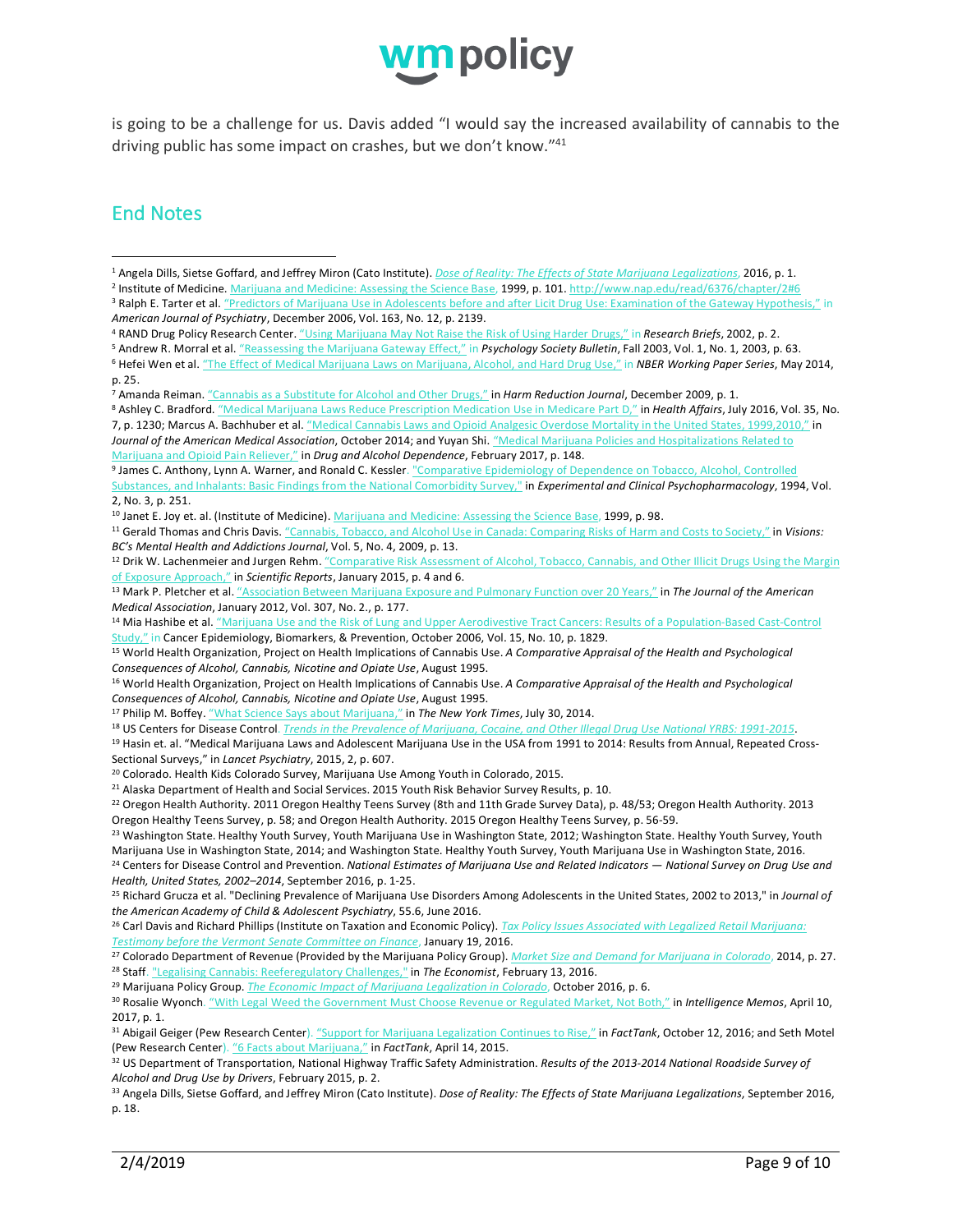

is going to be a challenge for us. Davis added "I would say the increased availability of cannabis to the driving public has some impact on crashes, but we don't know."41

#### End Notes

 $\overline{a}$ 

<sup>8</sup> Ashley C. Bradford. "Medical Marijuana Laws Reduce Prescription Medication Use in Medicare Part D," in *Health Affairs*, July 2016, Vol. 35, No.

Marijuana and Opioid Pain Reliever," in *Drug and Alcohol Dependence*, February 2017, p. 148.

<sup>17</sup> Philip M. Boffey. "What Science Says about Marijuana," in *The New York Times*, July 30, 2014.

<sup>18</sup> US Centers for Disease Control. *Trends in the Prevalence of Marijuana, Cocaine, and Other Illegal Drug Use National YRBS: 1991-2015*.

- <sup>19</sup> Hasin et. al. "Medical Marijuana Laws and Adolescent Marijuana Use in the USA from 1991 to 2014: Results from Annual, Repeated Cross-Sectional Surveys," in *Lancet Psychiatry*, 2015, 2, p. 607.
- <sup>20</sup> Colorado. Health Kids Colorado Survey, Marijuana Use Among Youth in Colorado, 2015.

<sup>21</sup> Alaska Department of Health and Social Services. 2015 Youth Risk Behavior Survey Results, p. 10.

<sup>22</sup> Oregon Health Authority. 2011 Oregon Healthy Teens Survey (8th and 11th Grade Survey Data), p. 48/53; Oregon Health Authority. 2013 Oregon Healthy Teens Survey, p. 58; and Oregon Health Authority. 2015 Oregon Healthy Teens Survey, p. 56-59.

<sup>1</sup> Angela Dills, Sietse Goffard, and Jeffrey Miron (Cato Institute). *Dose of Reality: The Effects of State Marijuana Legalizations*, 2016, p. 1.

<sup>&</sup>lt;sup>2</sup> Institute of Medicine. Marijuana and Medicine: Assessing the Science Base, 1999, p. 101. http://www.nap.edu/read/6376/chapter/2#6 <sup>3</sup> Ralph E. Tarter et al. "Predictors of Marijuana Use in Adolescents before and after Licit Drug Use: Examination of the Gateway Hypothesis," in *American Journal of Psychiatry*, December 2006, Vol. 163, No. 12, p. 2139.

<sup>4</sup> RAND Drug Policy Research Center. "Using Marijuana May Not Raise the Risk of Using Harder Drugs," in *Research Briefs*, 2002, p. 2.

<sup>5</sup> Andrew R. Morral et al. "Reassessing the Marijuana Gateway Effect," in *Psychology Society Bulletin*, Fall 2003, Vol. 1, No. 1, 2003, p. 63.

<sup>6</sup> Hefei Wen et al. "The Effect of Medical Marijuana Laws on Marijuana, Alcohol, and Hard Drug Use," in *NBER Working Paper Series*, May 2014, p. 25.

<sup>7</sup> Amanda Reiman. "Cannabis as a Substitute for Alcohol and Other Drugs," in *Harm Reduction Journal*, December 2009, p. 1.

<sup>7,</sup> p. 1230; Marcus A. Bachhuber et al. "Medical Cannabis Laws and Opioid Analgesic Overdose Mortality in the United States, 1999,2010," in *Journal of the American Medical Association*, October 2014; and Yuyan Shi. "Medical Marijuana Policies and Hospitalizations Related to

<sup>9</sup> James C. Anthony, Lynn A. Warner, and Ronald C. Kessler. "Comparative Epidemiology of Dependence on Tobacco, Alcohol, Controlled Substances, and Inhalants: Basic Findings from the National Comorbidity Survey," in *Experimental and Clinical Psychopharmacology*, 1994, Vol. 2, No. 3, p. 251.

<sup>&</sup>lt;sup>10</sup> Janet E. Joy et. al. (Institute of Medicine). Marijuana and Medicine: Assessing the Science Base, 1999, p. 98.

<sup>11</sup> Gerald Thomas and Chris Davis. "Cannabis, Tobacco, and Alcohol Use in Canada: Comparing Risks of Harm and Costs to Society," in *Visions: BC's Mental Health and Addictions Journal*, Vol. 5, No. 4, 2009, p. 13.

<sup>&</sup>lt;sup>12</sup> Drik W. Lachenmeier and Jurgen Rehm. "Comparative Risk Assessment of Alcohol, Tobacco, Cannabis, and Other Illicit Drugs Using the Margin of Exposure Approach," in *Scientific Reports*, January 2015, p. 4 and 6.

<sup>13</sup> Mark P. Pletcher et al. "Association Between Marijuana Exposure and Pulmonary Function over 20 Years," in *The Journal of the American Medical Association*, January 2012, Vol. 307, No. 2., p. 177.

<sup>14</sup> Mia Hashibe et al. "Marijuana Use and the Risk of Lung and Upper Aerodivestive Tract Cancers: Results of a Population-Based Cast-Control Study," in Cancer Epidemiology, Biomarkers, & Prevention, October 2006, Vol. 15, No. 10, p. 1829.

<sup>15</sup> World Health Organization, Project on Health Implications of Cannabis Use. *A Comparative Appraisal of the Health and Psychological Consequences of Alcohol, Cannabis, Nicotine and Opiate Use*, August 1995.

<sup>16</sup> World Health Organization, Project on Health Implications of Cannabis Use. *A Comparative Appraisal of the Health and Psychological Consequences of Alcohol, Cannabis, Nicotine and Opiate Use*, August 1995.

<sup>&</sup>lt;sup>23</sup> Washington State. Healthy Youth Survey, Youth Marijuana Use in Washington State, 2012; Washington State. Healthy Youth Survey, Youth Marijuana Use in Washington State, 2014; and Washington State. Healthy Youth Survey, Youth Marijuana Use in Washington State, 2016. <sup>24</sup> Centers for Disease Control and Prevention. *National Estimates of Marijuana Use and Related Indicators — National Survey on Drug Use and Health, United States, 2002–2014*, September 2016, p. 1-25.

<sup>25</sup> Richard Grucza et al. "Declining Prevalence of Marijuana Use Disorders Among Adolescents in the United States, 2002 to 2013," in *Journal of the American Academy of Child & Adolescent Psychiatry*, 55.6, June 2016.

<sup>26</sup> Carl Davis and Richard Phillips (Institute on Taxation and Economic Policy). *Tax Policy Issues Associated with Legalized Retail Marijuana:*  Testimony before the Vermont Senate Committee on Finance, January 19, 2016.<br><sup>27</sup> Colorado Department of Revenue (Provided by the Marijuana Policy Group). Market Size and Demand for Marijuana in Colorado, 2014, p. 27.

<sup>&</sup>lt;sup>28</sup> Staff. "Legalising Cannabis: Reeferegulatory Challenges," in *The Economist*, February 13, 2016. 29 Marijuana Policy Group. *The Economic Impact of Marijuana Legalization in Colorado*, October 2016, p. 6.

<sup>30</sup> Rosalie Wyonch. "With Legal Weed the Government Must Choose Revenue or Regulated Market, Not Both," in *Intelligence Memos*, April 10, 2017, p. 1.

<sup>31</sup> Abigail Geiger (Pew Research Center). "Support for Marijuana Legalization Continues to Rise," in *FactTank*, October 12, 2016; and Seth Motel (Pew Research Center). "6 Facts about Marijuana," in *FactTank*, April 14, 2015.

<sup>32</sup> US Department of Transportation, National Highway Traffic Safety Administration. *Results of the 2013-2014 National Roadside Survey of Alcohol and Drug Use by Drivers*, February 2015, p. 2.

<sup>33</sup> Angela Dills, Sietse Goffard, and Jeffrey Miron (Cato Institute). *Dose of Reality: The Effects of State Marijuana Legalizations*, September 2016, p. 18.